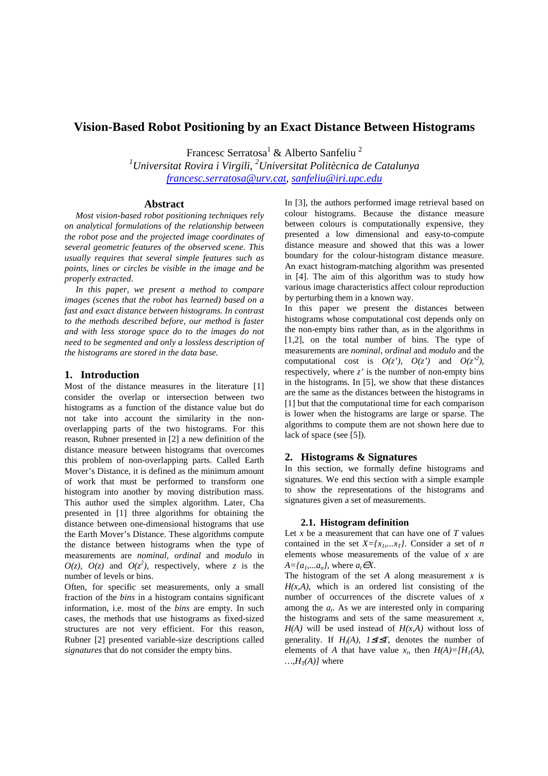## **Vision-Based Robot Positioning by an Exact Distance Between Histograms**

Francesc Serratosa $^1$  & Alberto Sanfeliu  $^2$ 

*1 Universitat Rovira i Virgili, 2 Universitat Politècnica de Catalunya francesc.serratosa@urv.cat, sanfeliu@iri.upc.edu*

#### **Abstract**

*Most vision-based robot positioning techniques rely on analytical formulations of the relationship between the robot pose and the projected image coordinates of several geometric features of the observed scene. This usually requires that several simple features such as points, lines or circles be visible in the image and be properly extracted.* 

*In this paper, we present a method to compare images (scenes that the robot has learned) based on a fast and exact distance between histograms. In contrast to the methods described before, our method is faster and with less storage space do to the images do not need to be segmented and only a lossless description of the histograms are stored in the data base.* 

## **1. Introduction**

Most of the distance measures in the literature [1] consider the overlap or intersection between two histograms as a function of the distance value but do not take into account the similarity in the nonoverlapping parts of the two histograms. For this reason, Rubner presented in [2] a new definition of the distance measure between histograms that overcomes this problem of non-overlapping parts. Called Earth Mover's Distance, it is defined as the minimum amount of work that must be performed to transform one histogram into another by moving distribution mass. This author used the simplex algorithm. Later, Cha presented in [1] three algorithms for obtaining the distance between one-dimensional histograms that use the Earth Mover's Distance. These algorithms compute the distance between histograms when the type of measurements are *nominal*, *ordinal* and *modulo* in  $O(z)$ ,  $O(z)$  and  $O(z^2)$ , respectively, where *z* is the number of levels or bins.

Often, for specific set measurements, only a small fraction of the *bins* in a histogram contains significant information, i.e. most of the *bins* are empty. In such cases, the methods that use histograms as fixed-sized structures are not very efficient. For this reason, Rubner [2] presented variable-size descriptions called *signatures* that do not consider the empty bins.

In [3], the authors performed image retrieval based on colour histograms. Because the distance measure between colours is computationally expensive, they presented a low dimensional and easy-to-compute distance measure and showed that this was a lower boundary for the colour-histogram distance measure. An exact histogram-matching algorithm was presented in [4]. The aim of this algorithm was to study how various image characteristics affect colour reproduction by perturbing them in a known way.

In this paper we present the distances between histograms whose computational cost depends only on the non-empty bins rather than, as in the algorithms in [1,2], on the total number of bins. The type of measurements are *nominal*, *ordinal* and *modulo* and the computational cost is  $O(z')$ ,  $O(z')$  and  $O(z^{2^2})$ , respectively, where *z'* is the number of non-empty bins in the histograms. In [5], we show that these distances are the same as the distances between the histograms in [1] but that the computational time for each comparison is lower when the histograms are large or sparse. The algorithms to compute them are not shown here due to lack of space (see [5]).

### **2. Histograms & Signatures**

In this section, we formally define histograms and signatures. We end this section with a simple example to show the representations of the histograms and signatures given a set of measurements.

#### **2.1. Histogram definition**

Let *x* be a measurement that can have one of *T* values contained in the set  $X = \{x_1, \ldots, x_T\}$ . Consider a set of *n* elements whose measurements of the value of *x* are  $A = \{a_1, \ldots, a_n\}$ , where  $a_i \in X$ .

The histogram of the set *A* along measurement *x* is  $H(x, A)$ , which is an ordered list consisting of the number of occurrences of the discrete values of *x* among the  $a_t$ . As we are interested only in comparing the histograms and sets of the same measurement  $x$ , *H(A)* will be used instead of *H(x,A)* without loss of generality. If  $H_i(A)$ ,  $1 \le i \le T$ , denotes the number of elements of *A* that have value  $x_i$ , then  $H(A) = [H_1(A)]$ ,  $...,H<sub>T</sub>(A)$ *]* where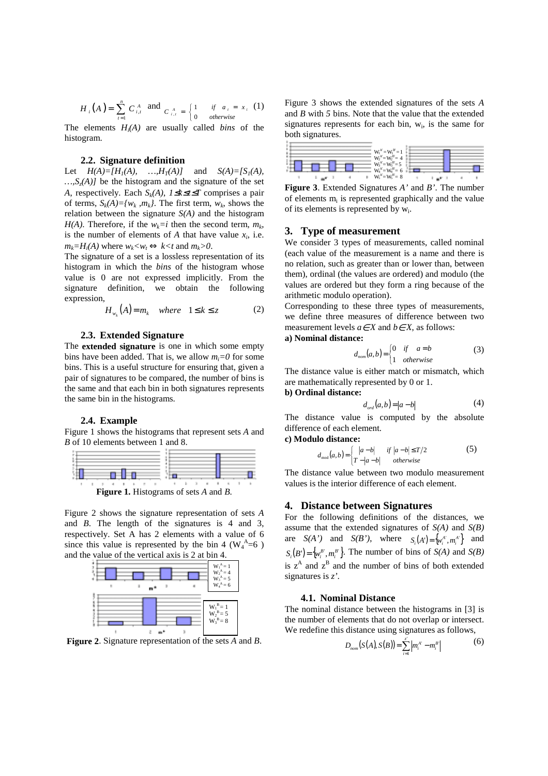$$
H_i(A) = \sum_{i=1}^n C_{i,t}^A \text{ and } C_{i,t}^A = \begin{cases} 1 & \text{if } a_t = x_i \\ 0 & \text{otherwise} \end{cases}
$$

The elements *Hi(A)* are usually called *bins* of the histogram.

# **2.2. Signature definition**  $H(A) = [H_1(A), \dots, H_T(A)]$

Let  $H(A) = [H_1(A), \dots, H_T(A)]$  and  $S(A) = [S_1(A),$  $...,S_z(A)$ ] be the histogram and the signature of the set *A*, respectively. Each *S<sub>k</sub>*(*A*), *1* ≤*k* ≤*z* ≤*T* comprises a pair of terms,  $S_k(A) = \{w_k, m_k\}$ . The first term,  $w_k$ , shows the relation between the signature *S(A)* and the histogram *H(A)*. Therefore, if the  $w_k = i$  then the second term,  $m_k$ , is the number of elements of  $A$  that have value  $x_i$ , i.e.  $m_k=H_i(A)$  where  $w_k \leq w_t \iff k \leq t$  and  $m_k > 0$ .

The signature of a set is a lossless representation of its histogram in which the *bins* of the histogram whose value is 0 are not expressed implicitly. From the signature definition, we obtain the following expression,

$$
H_{w_k}(A) = m_k \quad where \quad 1 \le k \le z \tag{2}
$$

#### **2.3. Extended Signature**

The **extended signature** is one in which some empty bins have been added. That is, we allow  $m_i=0$  for some bins. This is a useful structure for ensuring that, given a pair of signatures to be compared, the number of bins is the same and that each bin in both signatures represents the same bin in the histograms.

#### **2.4. Example**

Figure 1 shows the histograms that represent sets *A* and *B* of 10 elements between 1 and 8.



**Figure 1.** Histograms of sets *A* and *B*.

Figure 2 shows the signature representation of sets *A* and *B*. The length of the signatures is 4 and 3, respectively. Set A has 2 elements with a value of 6 since this value is represented by the bin 4 ( $W_4^A=6$ ) and the value of the vertical axis is 2 at bin 4.



**Figure 2**. Signature representation of the sets *A* and *B*.

Figure 3 shows the extended signatures of the sets *A* and *B* with *5* bins. Note that the value that the extended signatures represents for each bin,  $w_i$ , is the same for both signatures.



**Figure 3**. Extended Signatures *A'* and *B'*. The number of elements mi is represented graphically and the value of its elements is represented by wi.

## **3. Type of measurement**

We consider 3 types of measurements, called nominal (each value of the measurement is a name and there is no relation, such as greater than or lower than, between them), ordinal (the values are ordered) and modulo (the values are ordered but they form a ring because of the arithmetic modulo operation).

Corresponding to these three types of measurements, we define three measures of difference between two measurement levels  $a \in X$  and  $b \in X$ , as follows: **a) Nominal distance:** 

$$
d_{nom}(a, b) = \begin{cases} 0 & \text{if } a = b \\ 1 & \text{otherwise} \end{cases}
$$
 (3)

The distance value is either match or mismatch, which are mathematically represented by 0 or 1. **b) Ordinal distance:** 

$$
d_{\text{ord}}(a,b) = |a-b| \tag{4}
$$

The distance value is computed by the absolute difference of each element.

**c) Modulo distance:** 

$$
d_{\text{mod}}(a,b) = \begin{cases} |a-b| & \text{if } |a-b| \le T/2\\ T-|a-b| & \text{otherwise} \end{cases} \tag{5}
$$

The distance value between two modulo measurement values is the interior difference of each element.

#### **4. Distance between Signatures**

For the following definitions of the distances, we assume that the extended signatures of *S(A)* and *S(B)* are  $S(A')$  and  $S(B')$ , where  $S_i(A') = \{ w_i^A, m_i^A \}$  and  $S_i(B') = \{w_i^{B'}, m_i^{B'}\}$ . The number of bins of *S(A)* and *S(B)* is  $z^A$  and  $z^B$  and the number of bins of both extended signatures is *z'.* 

### **4.1. Nominal Distance**

The nominal distance between the histograms in [3] is the number of elements that do not overlap or intersect. We redefine this distance using signatures as follows,

$$
D_{nom}(S(A), S(B)) = \sum_{i=1}^{z} \left| m_i^{A'} - m_i^{B'} \right| \tag{6}
$$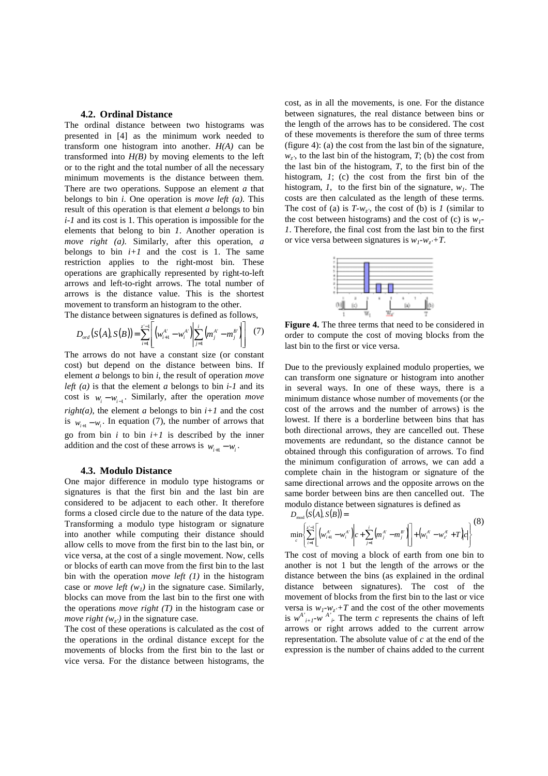## **4.2. Ordinal Distance**

The ordinal distance between two histograms was presented in [4] as the minimum work needed to transform one histogram into another. *H(A)* can be transformed into  $H(B)$  by moving elements to the left or to the right and the total number of all the necessary minimum movements is the distance between them. There are two operations. Suppose an element *a* that belongs to bin *i*. One operation is *move left (a)*. This result of this operation is that element *a* belongs to bin *i-1* and its cost is 1. This operation is impossible for the elements that belong to bin *1*. Another operation is *move right (a)*. Similarly, after this operation, *a* belongs to bin  $i+1$  and the cost is 1. The same restriction applies to the right-most bin. These operations are graphically represented by right-to-left arrows and left-to-right arrows. The total number of arrows is the distance value. This is the shortest movement to transform an histogram to the other.

The distance between signatures is defined as follows,

$$
D_{ord}(S(A), S(B)) = \sum_{i=1}^{z-1} \left[ \left( w_{i+1}^{A^i} - w_i^{A^i} \right) \middle| \sum_{j=1}^{i} \left( m_j^{A^i} - m_j^{B^i} \right) \right] (7)
$$

The arrows do not have a constant size (or constant cost) but depend on the distance between bins. If element *a* belongs to bin *i*, the result of operation *move left (a)* is that the element *a* belongs to bin *i-1* and its cost is  $w_i - w_{i-1}$ . Similarly, after the operation *move right(a)*, the element *a* belongs to bin  $i+1$  and the cost is  $w_{i+1} - w_i$ . In equation (7), the number of arrows that go from bin  $i$  to bin  $i+1$  is described by the inner addition and the cost of these arrows is  $w_{i+1} - w_i$ .

## **4.3. Modulo Distance**

One major difference in modulo type histograms or signatures is that the first bin and the last bin are considered to be adjacent to each other. It therefore forms a closed circle due to the nature of the data type. Transforming a modulo type histogram or signature into another while computing their distance should allow cells to move from the first bin to the last bin, or vice versa, at the cost of a single movement. Now, cells or blocks of earth can move from the first bin to the last bin with the operation *move left (1)* in the histogram case or *move left*  $(w_1)$  in the signature case. Similarly, blocks can move from the last bin to the first one with the operations *move right (T)* in the histogram case or *move right*  $(w_z)$  in the signature case.

The cost of these operations is calculated as the cost of the operations in the ordinal distance except for the movements of blocks from the first bin to the last or vice versa. For the distance between histograms, the

cost, as in all the movements, is one. For the distance between signatures, the real distance between bins or the length of the arrows has to be considered. The cost of these movements is therefore the sum of three terms (figure 4): (a) the cost from the last bin of the signature,  $w_{z}$ <sup>'</sup>, to the last bin of the histogram, *T*; (b) the cost from the last bin of the histogram, *T*, to the first bin of the histogram, *1*; (c) the cost from the first bin of the histogram, *1*, to the first bin of the signature,  $w_1$ . The costs are then calculated as the length of these terms. The cost of (a) is  $T-w_z$ , the cost of (b) is *1* (similar to the cost between histograms) and the cost of (c) is  $w_1$ -*1*. Therefore, the final cost from the last bin to the first or vice versa between signatures is  $w_1-w_2+T$ .



**Figure 4.** The three terms that need to be considered in order to compute the cost of moving blocks from the last bin to the first or vice versa.

Due to the previously explained modulo properties, we can transform one signature or histogram into another in several ways. In one of these ways, there is a minimum distance whose number of movements (or the cost of the arrows and the number of arrows) is the lowest. If there is a borderline between bins that has both directional arrows, they are cancelled out. These movements are redundant, so the distance cannot be obtained through this configuration of arrows. To find the minimum configuration of arrows, we can add a complete chain in the histogram or signature of the same directional arrows and the opposite arrows on the same border between bins are then cancelled out. The modulo distance between signatures is defined as

$$
D_{\text{mod}}(S(A), S(B)) = \min_{c} \left\{ \sum_{i=1}^{z-1} \left[ \left( w_{i+1}^{A^i} - w_i^{A^i} \right) \middle| c + \sum_{j=1}^{i} \left( m_j^{A^i} - m_j^{B^i} \right) \right] + \left( w_1^{A^i} - w_{z}^{A^i} + T \right) \middle| c \right\} \right\}
$$
(8)

The cost of moving a block of earth from one bin to another is not 1 but the length of the arrows or the distance between the bins (as explained in the ordinal distance between signatures). The cost of the movement of blocks from the first bin to the last or vice versa is  $w_1-w_2+T$  and the cost of the other movements is  $w^A{}_{i+1}$ -w  $A^B{}_{i}$ <sup>2</sup> The term *c* represents the chains of left arrows or right arrows added to the current arrow representation. The absolute value of *c* at the end of the expression is the number of chains added to the current